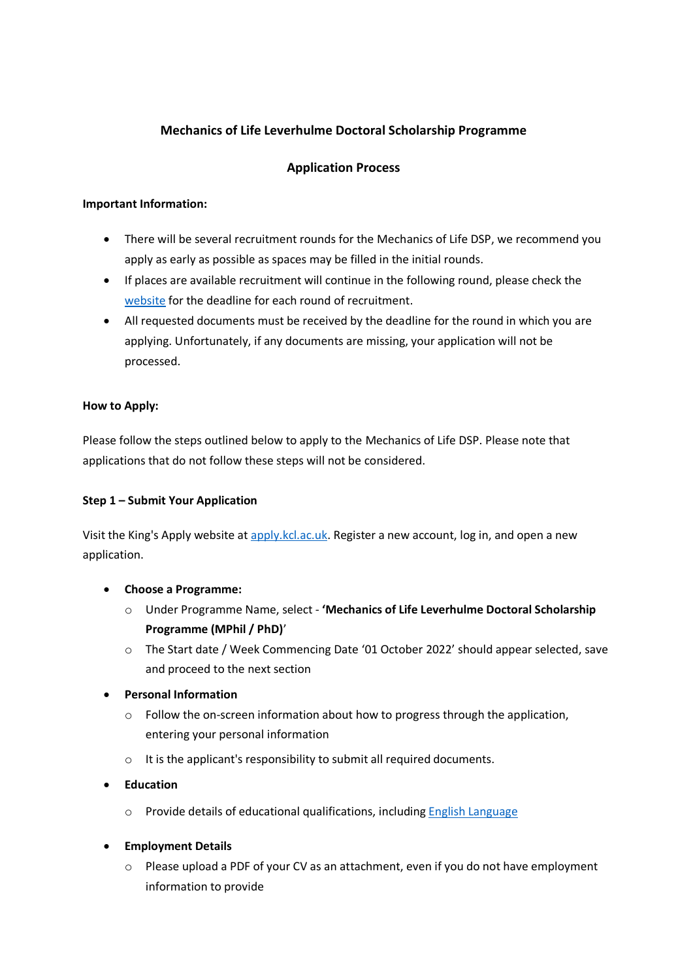# **Mechanics of Life Leverhulme Doctoral Scholarship Programme**

# **Application Process**

# **Important Information:**

- There will be several recruitment rounds for the Mechanics of Life DSP, we recommend you apply as early as possible as spaces may be filled in the initial rounds.
- If places are available recruitment will continue in the following round, please check the [website](https://www.kcl.ac.uk/nmes/research/leverhulme-dsp) for the deadline for each round of recruitment.
- All requested documents must be received by the deadline for the round in which you are applying. Unfortunately, if any documents are missing, your application will not be processed.

# **How to Apply:**

Please follow the steps outlined below to apply to the Mechanics of Life DSP. Please note that applications that do not follow these steps will not be considered.

#### **Step 1 – Submit Your Application**

Visit the King's Apply website a[t apply.kcl.ac.uk.](https://apply.kcl.ac.uk/) Register a new account, log in, and open a new application.

- **Choose a Programme:**
	- o Under Programme Name, select **'Mechanics of Life Leverhulme Doctoral Scholarship Programme (MPhil / PhD)**'
	- o The Start date / Week Commencing Date '01 October 2022' should appear selected, save and proceed to the next section
- **Personal Information**
	- $\circ$  Follow the on-screen information about how to progress through the application, entering your personal information
	- o It is the applicant's responsibility to submit all required documents.
- **Education**
	- o Provide details of educational qualifications, includin[g English Language](https://www.kcl.ac.uk/study/postgraduate-taught/how-to-apply/entry-requirements/english-language-requirements)
- **Employment Details** 
	- $\circ$  Please upload a PDF of your CV as an attachment, even if you do not have employment information to provide